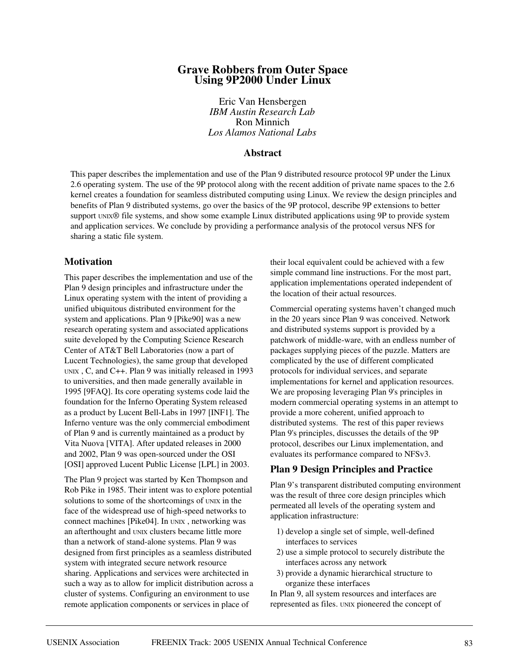# **Grave Robbers from Outer Space Using 9P2000 Under Linux**

Eric Van Hensbergen *IBM Austin Research Lab* Ron Minnich *Los Alamos National Labs*

## **Abstract**

This paper describes the implementation and use of the Plan 9 distributed resource protocol 9P under the Linux 2.6 operating system. The use of the 9P protocol along with the recent addition of private name spaces to the 2.6 kernel creates a foundation for seamless distributed computing using Linux. We review the design principles and benefits of Plan 9 distributed systems, go over the basics of the 9P protocol, describe 9P extensions to better support UNIX® file systems, and show some example Linux distributed applications using 9P to provide system and application services. We conclude by providing a performance analysis of the protocol versus NFS for sharing a static file system.

## **Motivation**

This paper describes the implementation and use of the Plan 9 design principles and infrastructure under the Linux operating system with the intent of providing a unified ubiquitous distributed environment for the system and applications. Plan 9 [Pike90] was a new research operating system and associated applications suite developed by the Computing Science Research Center of AT&T Bell Laboratories (now a part of Lucent Technologies), the same group that developed UNIX , C, and C++. Plan 9 was initially released in 1993 to universities, and then made generally available in 1995 [9FAQ]. Its core operating systems code laid the foundation for the Inferno Operating System released as a product by Lucent Bell-Labs in 1997 [INF1]. The Inferno venture was the only commercial embodiment of Plan 9 and is currently maintained as a product by Vita Nuova [VITA]. After updated releases in 2000 and 2002, Plan 9 was open-sourced under the OSI [OSI] approved Lucent Public License [LPL] in 2003.

The Plan 9 project was started by Ken Thompson and Rob Pike in 1985. Their intent was to explore potential solutions to some of the shortcomings of UNIX in the face of the widespread use of high-speed networks to connect machines [Pike04]. In UNIX , networking was an afterthought and UNIX clusters became little more than a network of stand-alone systems. Plan 9 was designed from first principles as a seamless distributed system with integrated secure network resource sharing. Applications and services were architected in such a way as to allow for implicit distribution across a cluster of systems. Configuring an environment to use remote application components or services in place of

their local equivalent could be achieved with a few simple command line instructions. For the most part, application implementations operated independent of the location of their actual resources.

Commercial operating systems haven't changed much in the 20 years since Plan 9 was conceived. Network and distributed systems support is provided by a patchwork of middle-ware, with an endless number of packages supplying pieces of the puzzle. Matters are complicated by the use of different complicated protocols for individual services, and separate implementations for kernel and application resources. We are proposing leveraging Plan 9's principles in modern commercial operating systems in an attempt to provide a more coherent, unified approach to distributed systems. The rest of this paper reviews Plan 9's principles, discusses the details of the 9P protocol, describes our Linux implementation, and evaluates its performance compared to NFSv3.

## **Plan 9 Design Principles and Practice**

Plan 9's transparent distributed computing environment was the result of three core design principles which permeated all levels of the operating system and application infrastructure:

- 1) develop a single set of simple, well-defined interfaces to services
- 2) use a simple protocol to securely distribute the interfaces across any network
- 3) provide a dynamic hierarchical structure to organize these interfaces

In Plan 9, all system resources and interfaces are represented as files. UNIX pioneered the concept of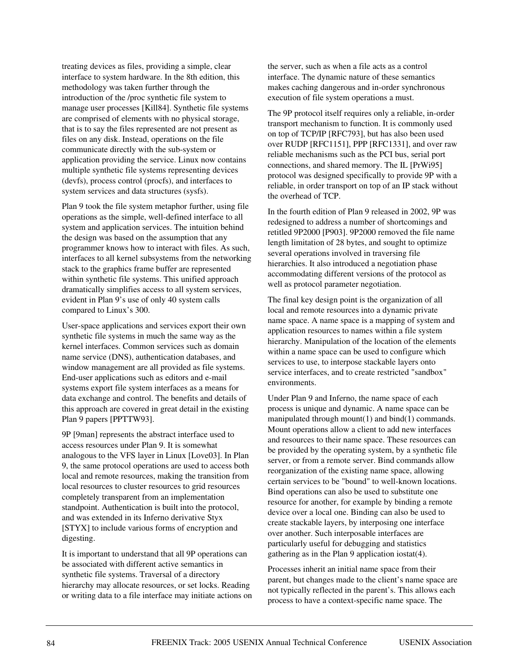treating devices as files, providing a simple, clear interface to system hardware. In the 8th edition, this methodology was taken further through the introduction of the /proc synthetic file system to manage user processes [Kill84]. Synthetic file systems are comprised of elements with no physical storage, that is to say the files represented are not present as files on any disk. Instead, operations on the file communicate directly with the sub-system or application providing the service. Linux now contains multiple synthetic file systems representing devices (devfs), process control (procfs), and interfaces to system services and data structures (sysfs).

Plan 9 took the file system metaphor further, using file operations as the simple, well-defined interface to all system and application services. The intuition behind the design was based on the assumption that any programmer knows how to interact with files. As such, interfaces to all kernel subsystems from the networking stack to the graphics frame buffer are represented within synthetic file systems. This unified approach dramatically simplifies access to all system services, evident in Plan 9's use of only 40 system calls compared to Linux's 300.

User-space applications and services export their own synthetic file systems in much the same way as the kernel interfaces. Common services such as domain name service (DNS), authentication databases, and window management are all provided as file systems. End-user applications such as editors and e-mail systems export file system interfaces as a means for data exchange and control. The benefits and details of this approach are covered in great detail in the existing Plan 9 papers [PPTTW93].

9P [9man] represents the abstract interface used to access resources under Plan 9. It is somewhat analogous to the VFS layer in Linux [Love03]. In Plan 9, the same protocol operations are used to access both local and remote resources, making the transition from local resources to cluster resources to grid resources completely transparent from an implementation standpoint. Authentication is built into the protocol, and was extended in its Inferno derivative Styx [STYX] to include various forms of encryption and digesting.

It is important to understand that all 9P operations can be associated with different active semantics in synthetic file systems. Traversal of a directory hierarchy may allocate resources, or set locks. Reading or writing data to a file interface may initiate actions on the server, such as when a file acts as a control interface. The dynamic nature of these semantics makes caching dangerous and in-order synchronous execution of file system operations a must.

The 9P protocol itself requires only a reliable, in-order transport mechanism to function. It is commonly used on top of TCP/IP [RFC793], but has also been used over RUDP [RFC1151], PPP [RFC1331], and over raw reliable mechanisms such as the PCI bus, serial port connections, and shared memory. The IL [PrWi95] protocol was designed specifically to provide 9P with a reliable, in order transport on top of an IP stack without the overhead of TCP.

In the fourth edition of Plan 9 released in 2002, 9P was redesigned to address a number of shortcomings and retitled 9P2000 [P903]. 9P2000 removed the file name length limitation of 28 bytes, and sought to optimize several operations involved in traversing file hierarchies. It also introduced a negotiation phase accommodating different versions of the protocol as well as protocol parameter negotiation.

The final key design point is the organization of all local and remote resources into a dynamic private name space. A name space is a mapping of system and application resources to names within a file system hierarchy. Manipulation of the location of the elements within a name space can be used to configure which services to use, to interpose stackable layers onto service interfaces, and to create restricted "sandbox" environments.

Under Plan 9 and Inferno, the name space of each process is unique and dynamic. A name space can be manipulated through mount(1) and bind(1) commands. Mount operations allow a client to add new interfaces and resources to their name space. These resources can be provided by the operating system, by a synthetic file server, or from a remote server. Bind commands allow reorganization of the existing name space, allowing certain services to be "bound" to well-known locations. Bind operations can also be used to substitute one resource for another, for example by binding a remote device over a local one. Binding can also be used to create stackable layers, by interposing one interface over another. Such interposable interfaces are particularly useful for debugging and statistics gathering as in the Plan 9 application iostat(4).

Processes inherit an initial name space from their parent, but changes made to the client's name space are not typically reflected in the parent's. This allows each process to have a context-specific name space. The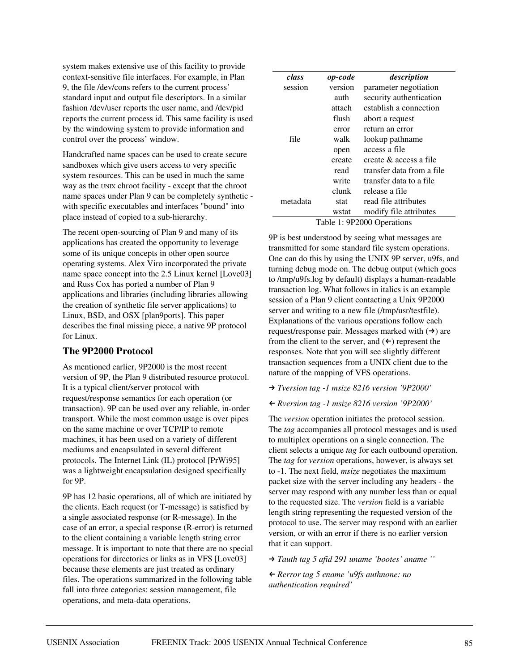system makes extensive use of this facility to provide context-sensitive file interfaces. For example, in Plan 9, the file /dev/cons refers to the current process' standard input and output file descriptors. In a similar fashion /dev/user reports the user name, and /dev/pid reports the current process id. This same facility is used by the windowing system to provide information and control over the process' window.

Handcrafted name spaces can be used to create secure sandboxes which give users access to very specific system resources. This can be used in much the same way as the UNIX chroot facility - except that the chroot name spaces under Plan 9 can be completely synthetic with specific executables and interfaces "bound" into place instead of copied to a sub-hierarchy.

The recent open-sourcing of Plan 9 and many of its applications has created the opportunity to leverage some of its unique concepts in other open source operating systems. Alex Viro incorporated the private name space concept into the 2.5 Linux kernel [Love03] and Russ Cox has ported a number of Plan 9 applications and libraries (including libraries allowing the creation of synthetic file server applications) to Linux, BSD, and OSX [plan9ports]. This paper describes the final missing piece, a native 9P protocol for Linux.

# **The 9P2000 Protocol**

As mentioned earlier, 9P2000 is the most recent version of 9P, the Plan 9 distributed resource protocol. It is a typical client/server protocol with request/response semantics for each operation (or transaction). 9P can be used over any reliable, in-order transport. While the most common usage is over pipes on the same machine or over TCP/IP to remote machines, it has been used on a variety of different mediums and encapsulated in several different protocols. The Internet Link (IL) protocol [PrWi95] was a lightweight encapsulation designed specifically for 9P.

9P has 12 basic operations, all of which are initiated by the clients. Each request (or T-message) is satisfied by a single associated response (or R-message). In the case of an error, a special response (R-error) is returned to the client containing a variable length string error message. It is important to note that there are no special operations for directories or links as in VFS [Love03] because these elements are just treated as ordinary files. The operations summarized in the following table fall into three categories: session management, file operations, and meta-data operations.

| class    | op-code | description                |
|----------|---------|----------------------------|
| session  | version | parameter negotiation      |
|          | auth    | security authentication    |
|          | attach  | establish a connection     |
|          | flush   | abort a request            |
|          | error   | return an error            |
| file     | walk    | lookup pathname            |
|          | open    | access a file              |
|          | create  | create & access a file     |
|          | read    | transfer data from a file  |
|          | write   | transfer data to a file    |
|          | clunk   | release a file             |
| metadata | stat    | read file attributes       |
|          | wstat   | modify file attributes     |
|          |         | Table 1: 9P2000 Operations |

9P is best understood by seeing what messages are transmitted for some standard file system operations. One can do this by using the UNIX 9P server, u9fs, and turning debug mode on. The debug output (which goes to /tmp/u9fs.log by default) displays a human-readable transaction log. What follows in italics is an example session of a Plan 9 client contacting a Unix 9P2000 server and writing to a new file (/tmp/usr/testfile). Explanations of the various operations follow each request/response pair. Messages marked with  $( \rightarrow )$  are from the client to the server, and  $($   $\leftarrow$   $)$  represent the responses. Note that you will see slightly different transaction sequences from a UNIX client due to the nature of the mapping of VFS operations.

## *Tversion tag -1 msize 8216 version '9P2000'*

# - *Rversion tag -1 msize 8216 version '9P2000'*

The *version* operation initiates the protocol session. The *tag* accompanies all protocol messages and is used to multiplex operations on a single connection. The client selects a unique *tag* for each outbound operation. The *tag* for *version* operations, however, is always set to -1. The next field, *msize* negotiates the maximum packet size with the server including any headers - the server may respond with any number less than or equal to the requested size. The *version* field is a variable length string representing the requested version of the protocol to use. The server may respond with an earlier version, or with an error if there is no earlier version that it can support.

*Tauth tag 5 afid 291 uname 'bootes' aname ''*

- *Rerror tag 5 ename 'u9fs authnone: no authentication required'*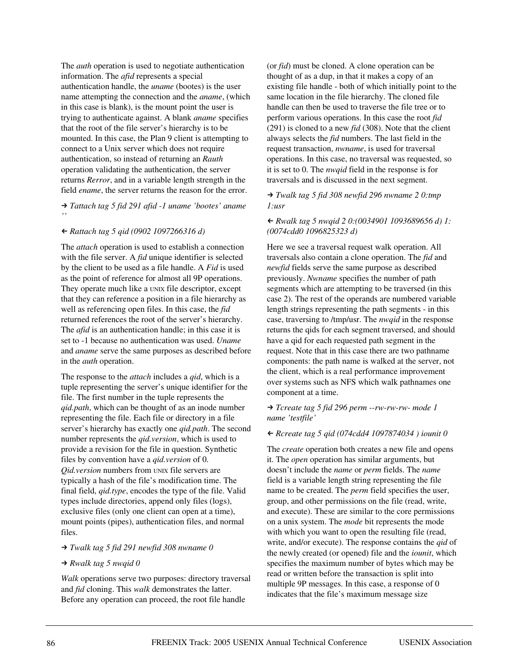The *auth* operation is used to negotiate authentication information. The *afid* represents a special authentication handle, the *uname* (bootes) is the user name attempting the connection and the *aname*, (which in this case is blank), is the mount point the user is trying to authenticate against. A blank *aname* specifies that the root of the file server's hierarchy is to be mounted. In this case, the Plan 9 client is attempting to connect to a Unix server which does not require authentication, so instead of returning an *Rauth* operation validating the authentication, the server returns *Rerror*, and in a variable length strength in the field *ename*, the server returns the reason for the error.

 *Tattach tag 5 fid 291 afid -1 uname 'bootes' aname ''*

## - *Rattach tag 5 qid (0902 1097266316 d)*

The *attach* operation is used to establish a connection with the file server. A *fid* unique identifier is selected by the client to be used as a file handle. A *Fid* is used as the point of reference for almost all 9P operations. They operate much like a UNIX file descriptor, except that they can reference a position in a file hierarchy as well as referencing open files. In this case, the *fid* returned references the root of the server's hierarchy. The *afid* is an authentication handle; in this case it is set to -1 because no authentication was used. *Uname* and *aname* serve the same purposes as described before in the *auth* operation.

The response to the *attach* includes a *qid*, which is a tuple representing the server's unique identifier for the file. The first number in the tuple represents the *qid.path*, which can be thought of as an inode number representing the file. Each file or directory in a file server's hierarchy has exactly one *qid.path*. The second number represents the *qid.version*, which is used to provide a revision for the file in question. Synthetic files by convention have a *qid.version* of 0. *Qid.version* numbers from UNIX file servers are typically a hash of the file's modification time. The final field, *qid.type*, encodes the type of the file. Valid types include directories, append only files (logs), exclusive files (only one client can open at a time), mount points (pipes), authentication files, and normal files.

#### *Twalk tag 5 fid 291 newfid 308 nwname 0*

#### *Rwalk tag 5 nwqid 0*

*Walk* operations serve two purposes: directory traversal and *fid* cloning. This *walk* demonstrates the latter. Before any operation can proceed, the root file handle

(or *fid*) must be cloned. A clone operation can be thought of as a dup, in that it makes a copy of an existing file handle - both of which initially point to the same location in the file hierarchy. The cloned file handle can then be used to traverse the file tree or to perform various operations. In this case the root *fid* (291) is cloned to a new *fid* (308). Note that the client always selects the *fid* numbers. The last field in the request transaction, *nwname*, is used for traversal operations. In this case, no traversal was requested, so it is set to 0. The *nwqid* field in the response is for traversals and is discussed in the next segment.

## *Twalk tag 5 fid 308 newfid 296 nwname 2 0:tmp 1:usr*

## - *Rwalk tag 5 nwqid 2 0:(0034901 1093689656 d) 1: (0074cdd0 1096825323 d)*

Here we see a traversal request walk operation. All traversals also contain a clone operation. The *fid* and *newfid* fields serve the same purpose as described previously. *Nwname* specifies the number of path segments which are attempting to be traversed (in this case 2). The rest of the operands are numbered variable length strings representing the path segments - in this case, traversing to /tmp/usr. The *nwqid* in the response returns the qids for each segment traversed, and should have a qid for each requested path segment in the request. Note that in this case there are two pathname components: the path name is walked at the server, not the client, which is a real performance improvement over systems such as NFS which walk pathnames one component at a time.

#### *Tcreate tag 5 fid 296 perm --rw-rw-rw- mode 1 name 'testfile'*

## - *Rcreate tag 5 qid (074cdd4 1097874034 ) iounit 0*

The *create* operation both creates a new file and opens it. The *open* operation has similar arguments, but doesn't include the *name* or *perm* fields. The *name* field is a variable length string representing the file name to be created. The *perm* field specifies the user, group, and other permissions on the file (read, write, and execute). These are similar to the core permissions on a unix system. The *mode* bit represents the mode with which you want to open the resulting file (read, write, and/or execute). The response contains the *qid* of the newly created (or opened) file and the *iounit*, which specifies the maximum number of bytes which may be read or written before the transaction is split into multiple 9P messages. In this case, a response of 0 indicates that the file's maximum message size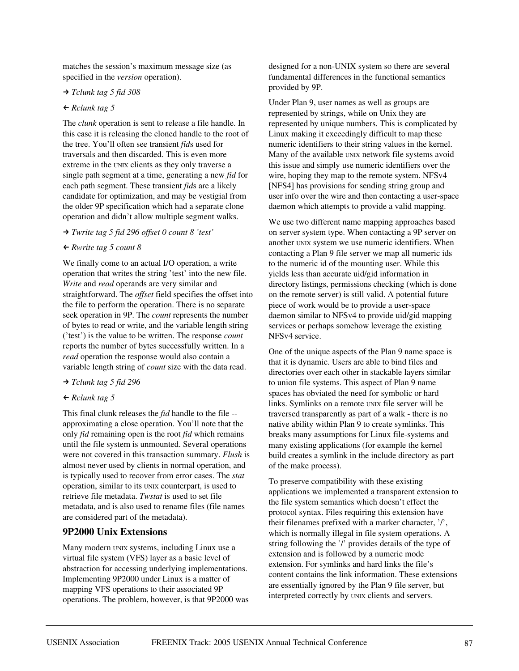matches the session's maximum message size (as specified in the *version* operation).

#### *Tclunk tag 5 fid 308*

# - *Rclunk tag 5*

The *clunk* operation is sent to release a file handle. In this case it is releasing the cloned handle to the root of the tree. You'll often see transient *fid*s used for traversals and then discarded. This is even more extreme in the UNIX clients as they only traverse a single path segment at a time, generating a new *fid* for each path segment. These transient *fid*s are a likely candidate for optimization, and may be vestigial from the older 9P specification which had a separate clone operation and didn't allow multiple segment walks.

#### *Twrite tag 5 fid 296 offset 0 count 8 'test'*

## - *Rwrite tag 5 count 8*

We finally come to an actual I/O operation, a write operation that writes the string 'test' into the new file. *Write* and *read* operands are very similar and straightforward. The *offset* field specifies the offset into the file to perform the operation. There is no separate seek operation in 9P. The *count* represents the number of bytes to read or write, and the variable length string ('test') is the value to be written. The response *count* reports the number of bytes successfully written. In a *read* operation the response would also contain a variable length string of *count* size with the data read.

#### *Tclunk tag 5 fid 296*

## - *Rclunk tag 5*

This final clunk releases the *fid* handle to the file - approximating a close operation. You'll note that the only *fid* remaining open is the root *fid* which remains until the file system is unmounted. Several operations were not covered in this transaction summary. *Flush* is almost never used by clients in normal operation, and is typically used to recover from error cases. The *stat* operation, similar to its UNIX counterpart, is used to retrieve file metadata. *Twstat* is used to set file metadata, and is also used to rename files (file names are considered part of the metadata).

## **9P2000 Unix Extensions**

Many modern UNIX systems, including Linux use a virtual file system (VFS) layer as a basic level of abstraction for accessing underlying implementations. Implementing 9P2000 under Linux is a matter of mapping VFS operations to their associated 9P operations. The problem, however, is that 9P2000 was

designed for a non-UNIX system so there are several fundamental differences in the functional semantics provided by 9P.

Under Plan 9, user names as well as groups are represented by strings, while on Unix they are represented by unique numbers. This is complicated by Linux making it exceedingly difficult to map these numeric identifiers to their string values in the kernel. Many of the available UNIX network file systems avoid this issue and simply use numeric identifiers over the wire, hoping they map to the remote system. NFSv4 [NFS4] has provisions for sending string group and user info over the wire and then contacting a user-space daemon which attempts to provide a valid mapping.

We use two different name mapping approaches based on server system type. When contacting a 9P server on another UNIX system we use numeric identifiers. When contacting a Plan 9 file server we map all numeric ids to the numeric id of the mounting user. While this yields less than accurate uid/gid information in directory listings, permissions checking (which is done on the remote server) is still valid. A potential future piece of work would be to provide a user-space daemon similar to NFSv4 to provide uid/gid mapping services or perhaps somehow leverage the existing NFSv4 service.

One of the unique aspects of the Plan 9 name space is that it is dynamic. Users are able to bind files and directories over each other in stackable layers similar to union file systems. This aspect of Plan 9 name spaces has obviated the need for symbolic or hard links. Symlinks on a remote UNIX file server will be traversed transparently as part of a walk - there is no native ability within Plan 9 to create symlinks. This breaks many assumptions for Linux file-systems and many existing applications (for example the kernel build creates a symlink in the include directory as part of the make process).

To preserve compatibility with these existing applications we implemented a transparent extension to the file system semantics which doesn't effect the protocol syntax. Files requiring this extension have their filenames prefixed with a marker character, '/', which is normally illegal in file system operations. A string following the '/' provides details of the type of extension and is followed by a numeric mode extension. For symlinks and hard links the file's content contains the link information. These extensions are essentially ignored by the Plan 9 file server, but interpreted correctly by UNIX clients and servers.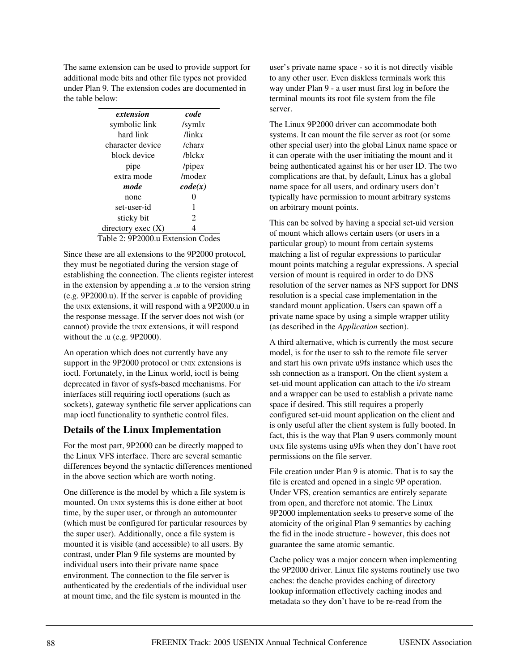The same extension can be used to provide support for additional mode bits and other file types not provided under Plan 9. The extension codes are documented in the table below:

| extension            | code         |
|----------------------|--------------|
| symbolic link        | /symlx       |
| hard link            | $\pi$ linkx  |
| character device     | /charx       |
| block device         | $/h$ lck $x$ |
| pipe                 | /pipex       |
| extra mode           | $/m$ odex    |
| mode                 | code(x)      |
| none                 | 0            |
| set-user-id          | 1            |
| sticky bit           | 2            |
| directory exec $(X)$ |              |
|                      |              |

#### Table 2: 9P2000.u Extension Codes

Since these are all extensions to the 9P2000 protocol, they must be negotiated during the version stage of establishing the connection. The clients register interest in the extension by appending a *.u* to the version string (e.g. 9P2000.u). If the server is capable of providing the UNIX extensions, it will respond with a 9P2000.u in the response message. If the server does not wish (or cannot) provide the UNIX extensions, it will respond without the .u (e.g. 9P2000).

An operation which does not currently have any support in the 9P2000 protocol or UNIX extensions is ioctl. Fortunately, in the Linux world, ioctl is being deprecated in favor of sysfs-based mechanisms. For interfaces still requiring ioctl operations (such as sockets), gateway synthetic file server applications can map ioctl functionality to synthetic control files.

## **Details of the Linux Implementation**

For the most part, 9P2000 can be directly mapped to the Linux VFS interface. There are several semantic differences beyond the syntactic differences mentioned in the above section which are worth noting.

One difference is the model by which a file system is mounted. On UNIX systems this is done either at boot time, by the super user, or through an automounter (which must be configured for particular resources by the super user). Additionally, once a file system is mounted it is visible (and accessible) to all users. By contrast, under Plan 9 file systems are mounted by individual users into their private name space environment. The connection to the file server is authenticated by the credentials of the individual user at mount time, and the file system is mounted in the

user's private name space - so it is not directly visible to any other user. Even diskless terminals work this way under Plan 9 - a user must first log in before the terminal mounts its root file system from the file server.

The Linux 9P2000 driver can accommodate both systems. It can mount the file server as root (or some other special user) into the global Linux name space or it can operate with the user initiating the mount and it being authenticated against his or her user ID. The two complications are that, by default, Linux has a global name space for all users, and ordinary users don't typically have permission to mount arbitrary systems on arbitrary mount points.

This can be solved by having a special set-uid version of mount which allows certain users (or users in a particular group) to mount from certain systems matching a list of regular expressions to particular mount points matching a regular expressions. A special version of mount is required in order to do DNS resolution of the server names as NFS support for DNS resolution is a special case implementation in the standard mount application. Users can spawn off a private name space by using a simple wrapper utility (as described in the *Application* section).

A third alternative, which is currently the most secure model, is for the user to ssh to the remote file server and start his own private u9fs instance which uses the ssh connection as a transport. On the client system a set-uid mount application can attach to the i/o stream and a wrapper can be used to establish a private name space if desired. This still requires a properly configured set-uid mount application on the client and is only useful after the client system is fully booted. In fact, this is the way that Plan 9 users commonly mount UNIX file systems using u9fs when they don't have root permissions on the file server.

File creation under Plan 9 is atomic. That is to say the file is created and opened in a single 9P operation. Under VFS, creation semantics are entirely separate from open, and therefore not atomic. The Linux 9P2000 implementation seeks to preserve some of the atomicity of the original Plan 9 semantics by caching the fid in the inode structure - however, this does not guarantee the same atomic semantic.

Cache policy was a major concern when implementing the 9P2000 driver. Linux file systems routinely use two caches: the dcache provides caching of directory lookup information effectively caching inodes and metadata so they don't have to be re-read from the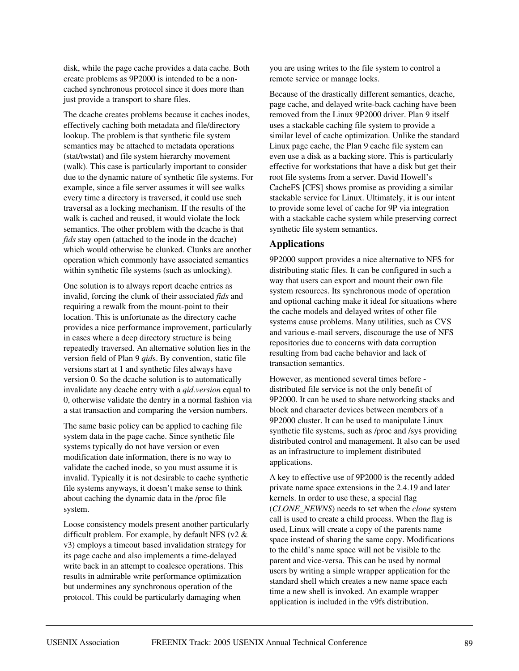disk, while the page cache provides a data cache. Both create problems as 9P2000 is intended to be a noncached synchronous protocol since it does more than just provide a transport to share files.

The dcache creates problems because it caches inodes, effectively caching both metadata and file/directory lookup. The problem is that synthetic file system semantics may be attached to metadata operations (stat/twstat) and file system hierarchy movement (walk). This case is particularly important to consider due to the dynamic nature of synthetic file systems. For example, since a file server assumes it will see walks every time a directory is traversed, it could use such traversal as a locking mechanism. If the results of the walk is cached and reused, it would violate the lock semantics. The other problem with the dcache is that *fids* stay open (attached to the inode in the dcache) which would otherwise be clunked. Clunks are another operation which commonly have associated semantics within synthetic file systems (such as unlocking).

One solution is to always report dcache entries as invalid, forcing the clunk of their associated *fids* and requiring a rewalk from the mount-point to their location. This is unfortunate as the directory cache provides a nice performance improvement, particularly in cases where a deep directory structure is being repeatedly traversed. An alternative solution lies in the version field of Plan 9 *qid*s. By convention, static file versions start at 1 and synthetic files always have version 0. So the dcache solution is to automatically invalidate any dcache entry with a *qid.version* equal to 0, otherwise validate the dentry in a normal fashion via a stat transaction and comparing the version numbers.

The same basic policy can be applied to caching file system data in the page cache. Since synthetic file systems typically do not have version or even modification date information, there is no way to validate the cached inode, so you must assume it is invalid. Typically it is not desirable to cache synthetic file systems anyways, it doesn't make sense to think about caching the dynamic data in the /proc file system.

Loose consistency models present another particularly difficult problem. For example, by default NFS ( $v2 \&$ v3) employs a timeout based invalidation strategy for its page cache and also implements a time-delayed write back in an attempt to coalesce operations. This results in admirable write performance optimization but undermines any synchronous operation of the protocol. This could be particularly damaging when

you are using writes to the file system to control a remote service or manage locks.

Because of the drastically different semantics, dcache, page cache, and delayed write-back caching have been removed from the Linux 9P2000 driver. Plan 9 itself uses a stackable caching file system to provide a similar level of cache optimization. Unlike the standard Linux page cache, the Plan 9 cache file system can even use a disk as a backing store. This is particularly effective for workstations that have a disk but get their root file systems from a server. David Howell's CacheFS [CFS] shows promise as providing a similar stackable service for Linux. Ultimately, it is our intent to provide some level of cache for 9P via integration with a stackable cache system while preserving correct synthetic file system semantics.

## **Applications**

9P2000 support provides a nice alternative to NFS for distributing static files. It can be configured in such a way that users can export and mount their own file system resources. Its synchronous mode of operation and optional caching make it ideal for situations where the cache models and delayed writes of other file systems cause problems. Many utilities, such as CVS and various e-mail servers, discourage the use of NFS repositories due to concerns with data corruption resulting from bad cache behavior and lack of transaction semantics.

However, as mentioned several times before distributed file service is not the only benefit of 9P2000. It can be used to share networking stacks and block and character devices between members of a 9P2000 cluster. It can be used to manipulate Linux synthetic file systems, such as /proc and /sys providing distributed control and management. It also can be used as an infrastructure to implement distributed applications.

A key to effective use of 9P2000 is the recently added private name space extensions in the 2.4.19 and later kernels. In order to use these, a special flag (*CLONE\_NEWNS*) needs to set when the *clone* system call is used to create a child process. When the flag is used, Linux will create a copy of the parents name space instead of sharing the same copy. Modifications to the child's name space will not be visible to the parent and vice-versa. This can be used by normal users by writing a simple wrapper application for the standard shell which creates a new name space each time a new shell is invoked. An example wrapper application is included in the v9fs distribution.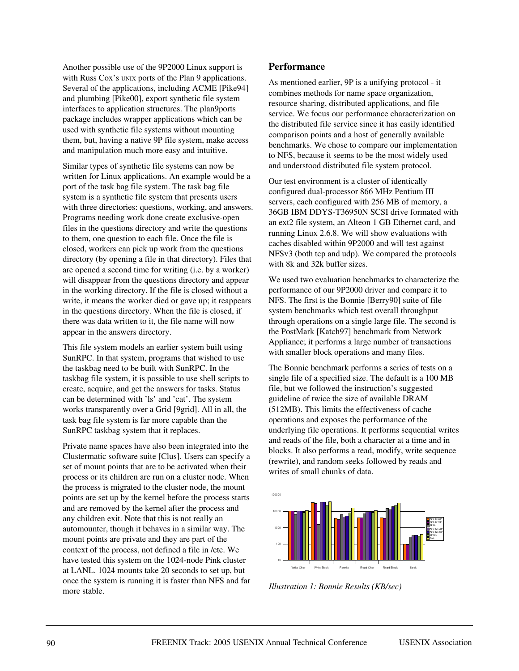Another possible use of the 9P2000 Linux support is with Russ Cox's UNIX ports of the Plan 9 applications. Several of the applications, including ACME [Pike94] and plumbing [Pike00], export synthetic file system interfaces to application structures. The plan9ports package includes wrapper applications which can be used with synthetic file systems without mounting them, but, having a native 9P file system, make access and manipulation much more easy and intuitive.

Similar types of synthetic file systems can now be written for Linux applications. An example would be a port of the task bag file system. The task bag file system is a synthetic file system that presents users with three directories: questions, working, and answers. Programs needing work done create exclusive-open files in the questions directory and write the questions to them, one question to each file. Once the file is closed, workers can pick up work from the questions directory (by opening a file in that directory). Files that are opened a second time for writing (i.e. by a worker) will disappear from the questions directory and appear in the working directory. If the file is closed without a write, it means the worker died or gave up; it reappears in the questions directory. When the file is closed, if there was data written to it, the file name will now appear in the answers directory.

This file system models an earlier system built using SunRPC. In that system, programs that wished to use the taskbag need to be built with SunRPC. In the taskbag file system, it is possible to use shell scripts to create, acquire, and get the answers for tasks. Status can be determined with 'ls' and 'cat'. The system works transparently over a Grid [9grid]. All in all, the task bag file system is far more capable than the SunRPC taskbag system that it replaces.

Private name spaces have also been integrated into the Clustermatic software suite [Clus]. Users can specify a set of mount points that are to be activated when their process or its children are run on a cluster node. When the process is migrated to the cluster node, the mount points are set up by the kernel before the process starts and are removed by the kernel after the process and any children exit. Note that this is not really an automounter, though it behaves in a similar way. The mount points are private and they are part of the context of the process, not defined a file in /etc. We have tested this system on the 1024-node Pink cluster at LANL. 1024 mounts take 20 seconds to set up, but once the system is running it is faster than NFS and far more stable.

## **Performance**

As mentioned earlier, 9P is a unifying protocol - it combines methods for name space organization, resource sharing, distributed applications, and file service. We focus our performance characterization on the distributed file service since it has easily identified comparison points and a host of generally available benchmarks. We chose to compare our implementation to NFS, because it seems to be the most widely used and understood distributed file system protocol.

Our test environment is a cluster of identically configured dual-processor 866 MHz Pentium III servers, each configured with 256 MB of memory, a 36GB IBM DDYS-T36950N SCSI drive formated with an ext2 file system, an Alteon 1 GB Ethernet card, and running Linux 2.6.8. We will show evaluations with caches disabled within 9P2000 and will test against NFSv3 (both tcp and udp). We compared the protocols with 8k and 32k buffer sizes.

We used two evaluation benchmarks to characterize the performance of our 9P2000 driver and compare it to NFS. The first is the Bonnie [Berry90] suite of file system benchmarks which test overall throughput through operations on a single large file. The second is the PostMark [Katch97] benchmark from Network Appliance; it performs a large number of transactions with smaller block operations and many files.

The Bonnie benchmark performs a series of tests on a single file of a specified size. The default is a 100 MB file, but we followed the instruction's suggested guideline of twice the size of available DRAM (512MB). This limits the effectiveness of cache operations and exposes the performance of the underlying file operations. It performs sequential writes and reads of the file, both a character at a time and in blocks. It also performs a read, modify, write sequence (rewrite), and random seeks followed by reads and writes of small chunks of data.



*Illustration 1: Bonnie Results (KB/sec)*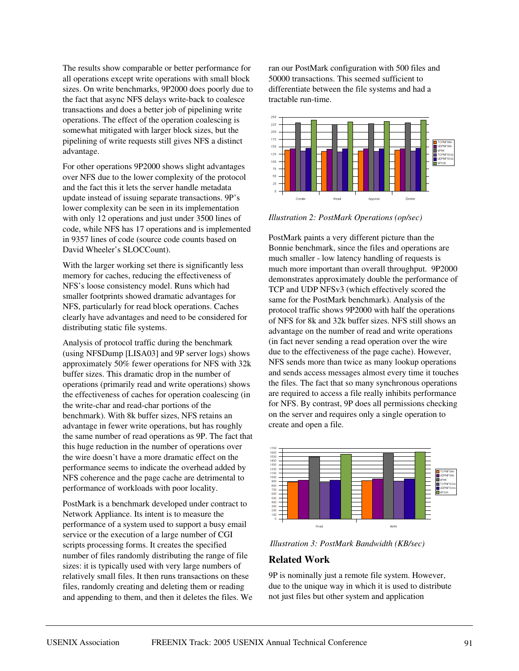The results show comparable or better performance for all operations except write operations with small block sizes. On write benchmarks, 9P2000 does poorly due to the fact that async NFS delays write-back to coalesce transactions and does a better job of pipelining write operations. The effect of the operation coalescing is somewhat mitigated with larger block sizes, but the pipelining of write requests still gives NFS a distinct advantage.

For other operations 9P2000 shows slight advantages over NFS due to the lower complexity of the protocol and the fact this it lets the server handle metadata update instead of issuing separate transactions. 9P's lower complexity can be seen in its implementation with only 12 operations and just under 3500 lines of code, while NFS has 17 operations and is implemented in 9357 lines of code (source code counts based on David Wheeler's SLOCCount).

With the larger working set there is significantly less memory for caches, reducing the effectiveness of NFS's loose consistency model. Runs which had smaller footprints showed dramatic advantages for NFS, particularly for read block operations. Caches clearly have advantages and need to be considered for distributing static file systems.

Analysis of protocol traffic during the benchmark (using NFSDump [LISA03] and 9P server logs) shows approximately 50% fewer operations for NFS with 32k buffer sizes. This dramatic drop in the number of operations (primarily read and write operations) shows the effectiveness of caches for operation coalescing (in the write-char and read-char portions of the benchmark). With 8k buffer sizes, NFS retains an advantage in fewer write operations, but has roughly the same number of read operations as 9P. The fact that this huge reduction in the number of operations over the wire doesn't have a more dramatic effect on the performance seems to indicate the overhead added by NFS coherence and the page cache are detrimental to performance of workloads with poor locality.

PostMark is a benchmark developed under contract to Network Appliance. Its intent is to measure the performance of a system used to support a busy email service or the execution of a large number of CGI scripts processing forms. It creates the specified number of files randomly distributing the range of file sizes: it is typically used with very large numbers of relatively small files. It then runs transactions on these files, randomly creating and deleting them or reading and appending to them, and then it deletes the files. We ran our PostMark configuration with 500 files and 50000 transactions. This seemed sufficient to differentiate between the file systems and had a tractable run-time.



*Illustration 2: PostMark Operations (op/sec)*

PostMark paints a very different picture than the Bonnie benchmark, since the files and operations are much smaller - low latency handling of requests is much more important than overall throughput. 9P2000 demonstrates approximately double the performance of TCP and UDP NFSv3 (which effectively scored the same for the PostMark benchmark). Analysis of the protocol traffic shows 9P2000 with half the operations of NFS for 8k and 32k buffer sizes. NFS still shows an advantage on the number of read and write operations (in fact never sending a read operation over the wire due to the effectiveness of the page cache). However, NFS sends more than twice as many lookup operations and sends access messages almost every time it touches the files. The fact that so many synchronous operations are required to access a file really inhibits performance for NFS. By contrast, 9P does all permissions checking on the server and requires only a single operation to create and open a file.



*Illustration 3: PostMark Bandwidth (KB/sec)*

## **Related Work**

9P is nominally just a remote file system. However, due to the unique way in which it is used to distribute not just files but other system and application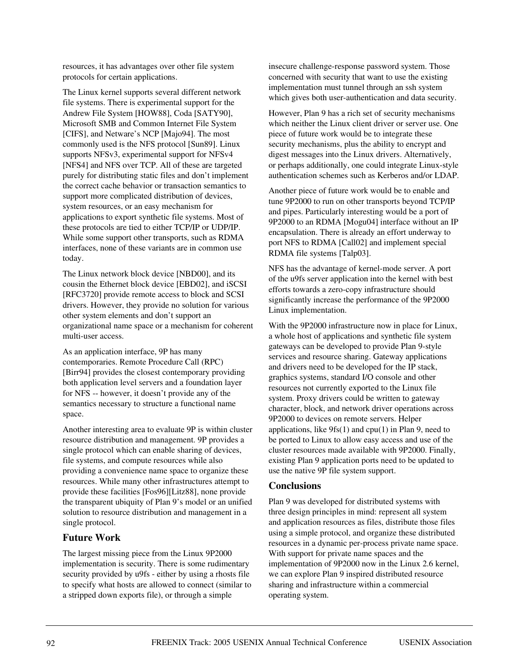resources, it has advantages over other file system protocols for certain applications.

The Linux kernel supports several different network file systems. There is experimental support for the Andrew File System [HOW88], Coda [SATY90], Microsoft SMB and Common Internet File System [CIFS], and Netware's NCP [Majo94]. The most commonly used is the NFS protocol [Sun89]. Linux supports NFSv3, experimental support for NFSv4 [NFS4] and NFS over TCP. All of these are targeted purely for distributing static files and don't implement the correct cache behavior or transaction semantics to support more complicated distribution of devices, system resources, or an easy mechanism for applications to export synthetic file systems. Most of these protocols are tied to either TCP/IP or UDP/IP. While some support other transports, such as RDMA interfaces, none of these variants are in common use today.

The Linux network block device [NBD00], and its cousin the Ethernet block device [EBD02], and iSCSI [RFC3720] provide remote access to block and SCSI drivers. However, they provide no solution for various other system elements and don't support an organizational name space or a mechanism for coherent multi-user access.

As an application interface, 9P has many contemporaries. Remote Procedure Call (RPC) [Birr94] provides the closest contemporary providing both application level servers and a foundation layer for NFS -- however, it doesn't provide any of the semantics necessary to structure a functional name space.

Another interesting area to evaluate 9P is within cluster resource distribution and management. 9P provides a single protocol which can enable sharing of devices, file systems, and compute resources while also providing a convenience name space to organize these resources. While many other infrastructures attempt to provide these facilities [Fos96][Litz88], none provide the transparent ubiquity of Plan 9's model or an unified solution to resource distribution and management in a single protocol.

# **Future Work**

The largest missing piece from the Linux 9P2000 implementation is security. There is some rudimentary security provided by u9fs - either by using a rhosts file to specify what hosts are allowed to connect (similar to a stripped down exports file), or through a simple

insecure challenge-response password system. Those concerned with security that want to use the existing implementation must tunnel through an ssh system which gives both user-authentication and data security.

However, Plan 9 has a rich set of security mechanisms which neither the Linux client driver or server use. One piece of future work would be to integrate these security mechanisms, plus the ability to encrypt and digest messages into the Linux drivers. Alternatively, or perhaps additionally, one could integrate Linux-style authentication schemes such as Kerberos and/or LDAP.

Another piece of future work would be to enable and tune 9P2000 to run on other transports beyond TCP/IP and pipes. Particularly interesting would be a port of 9P2000 to an RDMA [Mogu04] interface without an IP encapsulation. There is already an effort underway to port NFS to RDMA [Call02] and implement special RDMA file systems [Talp03].

NFS has the advantage of kernel-mode server. A port of the u9fs server application into the kernel with best efforts towards a zero-copy infrastructure should significantly increase the performance of the 9P2000 Linux implementation.

With the 9P2000 infrastructure now in place for Linux, a whole host of applications and synthetic file system gateways can be developed to provide Plan 9-style services and resource sharing. Gateway applications and drivers need to be developed for the IP stack, graphics systems, standard I/O console and other resources not currently exported to the Linux file system. Proxy drivers could be written to gateway character, block, and network driver operations across 9P2000 to devices on remote servers. Helper applications, like  $9fs(1)$  and  $cpu(1)$  in Plan 9, need to be ported to Linux to allow easy access and use of the cluster resources made available with 9P2000. Finally, existing Plan 9 application ports need to be updated to use the native 9P file system support.

## **Conclusions**

Plan 9 was developed for distributed systems with three design principles in mind: represent all system and application resources as files, distribute those files using a simple protocol, and organize these distributed resources in a dynamic per-process private name space. With support for private name spaces and the implementation of 9P2000 now in the Linux 2.6 kernel, we can explore Plan 9 inspired distributed resource sharing and infrastructure within a commercial operating system.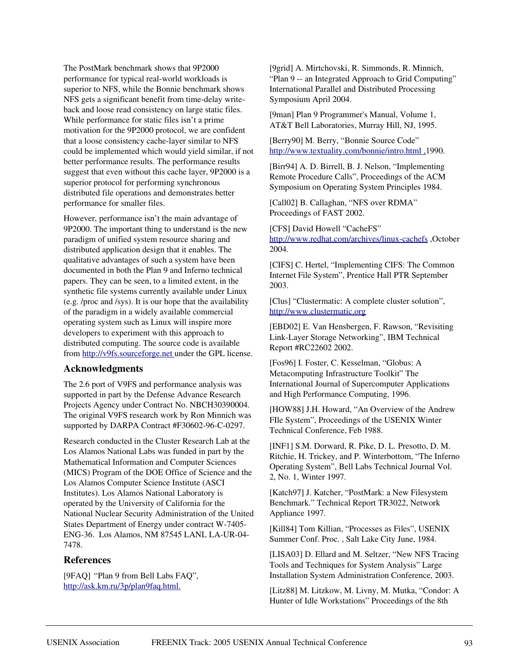The PostMark benchmark shows that 9P2000 performance for typical real-world workloads is superior to NFS, while the Bonnie benchmark shows NFS gets a significant benefit from time-delay writeback and loose read consistency on large static files. While performance for static files isn't a prime motivation for the 9P2000 protocol, we are confident that a loose consistency cache-layer similar to NFS could be implemented which would yield similar, if not better performance results. The performance results suggest that even without this cache layer, 9P2000 is a superior protocol for performing synchronous distributed file operations and demonstrates better performance for smaller files.

However, performance isn't the main advantage of 9P2000. The important thing to understand is the new paradigm of unified system resource sharing and distributed application design that it enables. The qualitative advantages of such a system have been documented in both the Plan 9 and Inferno technical papers. They can be seen, to a limited extent, in the synthetic file systems currently available under Linux (e.g. /proc and /sys). It is our hope that the availability of the paradigm in a widely available commercial operating system such as Linux will inspire more developers to experiment with this approach to distributed computing. The source code is available from http://v9fs.sourceforge.net under the GPL license.

## **Acknowledgments**

The 2.6 port of V9FS and performance analysis was supported in part by the Defense Advance Research Projects Agency under Contract No. NBCH30390004. The original V9FS research work by Ron Minnich was supported by DARPA Contract #F30602-96-C-0297.

Research conducted in the Cluster Research Lab at the Los Alamos National Labs was funded in part by the Mathematical Information and Computer Sciences (MICS) Program of the DOE Office of Science and the Los Alamos Computer Science Institute (ASCI Institutes). Los Alamos National Laboratory is operated by the University of California for the National Nuclear Security Administration of the United States Department of Energy under contract W-7405- ENG-36. Los Alamos, NM 87545 LANL LA-UR-04- 7478.

## **References**

[9FAQ] "Plan 9 from Bell Labs FAQ", http://ask.km.ru/3p/plan9faq.html.

[9grid] A. Mirtchovski, R. Simmonds, R. Minnich, "Plan 9 -- an Integrated Approach to Grid Computing" International Parallel and Distributed Processing Symposium April 2004.

[9man] Plan 9 Programmer's Manual, Volume 1, AT&T Bell Laboratories, Murray Hill, NJ, 1995.

[Berry90] M. Berry, "Bonnie Source Code" http://www.textuality.com/bonnie/intro.html ,1990.

[Birr94] A. D. Birrell, B. J. Nelson, "Implementing Remote Procedure Calls", Proceedings of the ACM Symposium on Operating System Principles 1984.

[Call02] B. Callaghan, "NFS over RDMA" Proceedings of FAST 2002.

[CFS] David Howell "CacheFS" http://www.redhat.com/archives/linux-cachefs ,October 2004.

[CIFS] C. Hertel, "Implementing CIFS: The Common Internet File System", Prentice Hall PTR September 2003.

[Clus] "Clustermatic: A complete cluster solution", http://www.clustermatic.org

[EBD02] E. Van Hensbergen, F. Rawson, "Revisiting Link-Layer Storage Networking", IBM Technical Report #RC22602 2002.

[Fos96] I. Foster, C. Kesselman, "Globus: A Metacomputing Infrastructure Toolkit" The International Journal of Supercomputer Applications and High Performance Computing, 1996.

[HOW88] J.H. Howard, "An Overview of the Andrew FIle System", Proceedings of the USENIX Winter Technical Conference, Feb 1988.

[INF1] S.M. Dorward, R. Pike, D. L. Presotto, D. M. Ritchie, H. Trickey, and P. Winterbottom, "The Inferno Operating System", Bell Labs Technical Journal Vol. 2, No. 1, Winter 1997.

[Katch97] J. Katcher, "PostMark: a New Filesystem Benchmark." Technical Report TR3022, Network Appliance 1997.

[Kill84] Tom Killian, "Processes as Files", USENIX Summer Conf. Proc. , Salt Lake City June, 1984.

[LISA03] D. Ellard and M. Seltzer, "New NFS Tracing Tools and Techniques for System Analysis" Large Installation System Administration Conference, 2003.

[Litz88] M. Litzkow, M. Livny, M. Mutka, "Condor: A Hunter of Idle Workstations" Proceedings of the 8th